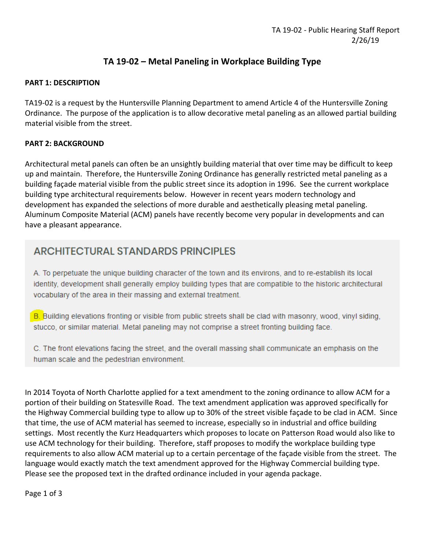# **TA 19-02 – Metal Paneling in Workplace Building Type**

#### **PART 1: DESCRIPTION**

TA19-02 is a request by the Huntersville Planning Department to amend Article 4 of the Huntersville Zoning Ordinance. The purpose of the application is to allow decorative metal paneling as an allowed partial building material visible from the street.

# **PART 2: BACKGROUND**

Architectural metal panels can often be an unsightly building material that over time may be difficult to keep up and maintain. Therefore, the Huntersville Zoning Ordinance has generally restricted metal paneling as a building façade material visible from the public street since its adoption in 1996. See the current workplace building type architectural requirements below. However in recent years modern technology and development has expanded the selections of more durable and aesthetically pleasing metal paneling. Aluminum Composite Material (ACM) panels have recently become very popular in developments and can have a pleasant appearance.

# **ARCHITECTURAL STANDARDS PRINCIPLES**

A. To perpetuate the unique building character of the town and its environs, and to re-establish its local identity, development shall generally employ building types that are compatible to the historic architectural vocabulary of the area in their massing and external treatment.

B. Building elevations fronting or visible from public streets shall be clad with masonry, wood, vinyl siding, stucco, or similar material. Metal paneling may not comprise a street fronting building face.

C. The front elevations facing the street, and the overall massing shall communicate an emphasis on the human scale and the pedestrian environment.

In 2014 Toyota of North Charlotte applied for a text amendment to the zoning ordinance to allow ACM for a portion of their building on Statesville Road. The text amendment application was approved specifically for the Highway Commercial building type to allow up to 30% of the street visible façade to be clad in ACM. Since that time, the use of ACM material has seemed to increase, especially so in industrial and office building settings. Most recently the Kurz Headquarters which proposes to locate on Patterson Road would also like to use ACM technology for their building. Therefore, staff proposes to modify the workplace building type requirements to also allow ACM material up to a certain percentage of the façade visible from the street. The language would exactly match the text amendment approved for the Highway Commercial building type. Please see the proposed text in the drafted ordinance included in your agenda package.

Page 1 of 3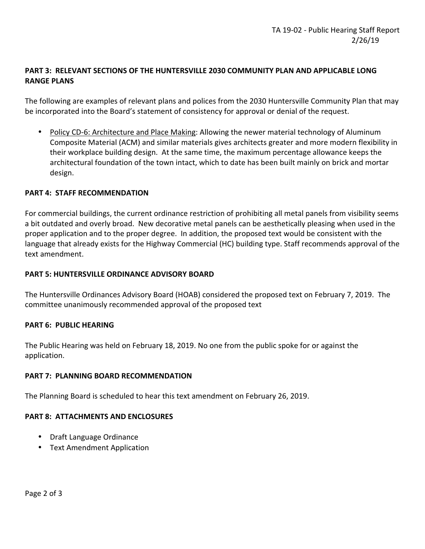# **PART 3: RELEVANT SECTIONS OF THE HUNTERSVILLE 2030 COMMUNITY PLAN AND APPLICABLE LONG RANGE PLANS**

The following are examples of relevant plans and polices from the 2030 Huntersville Community Plan that may be incorporated into the Board's statement of consistency for approval or denial of the request.

• Policy CD-6: Architecture and Place Making: Allowing the newer material technology of Aluminum Composite Material (ACM) and similar materials gives architects greater and more modern flexibility in their workplace building design. At the same time, the maximum percentage allowance keeps the architectural foundation of the town intact, which to date has been built mainly on brick and mortar design.

## **PART 4: STAFF RECOMMENDATION**

For commercial buildings, the current ordinance restriction of prohibiting all metal panels from visibility seems a bit outdated and overly broad. New decorative metal panels can be aesthetically pleasing when used in the proper application and to the proper degree. In addition, the proposed text would be consistent with the language that already exists for the Highway Commercial (HC) building type. Staff recommends approval of the text amendment.

#### **PART 5: HUNTERSVILLE ORDINANCE ADVISORY BOARD**

The Huntersville Ordinances Advisory Board (HOAB) considered the proposed text on February 7, 2019. The committee unanimously recommended approval of the proposed text

#### **PART 6: PUBLIC HEARING**

The Public Hearing was held on February 18, 2019. No one from the public spoke for or against the application.

#### **PART 7: PLANNING BOARD RECOMMENDATION**

The Planning Board is scheduled to hear this text amendment on February 26, 2019.

#### **PART 8: ATTACHMENTS AND ENCLOSURES**

- Draft Language Ordinance
- Text Amendment Application

Page 2 of 3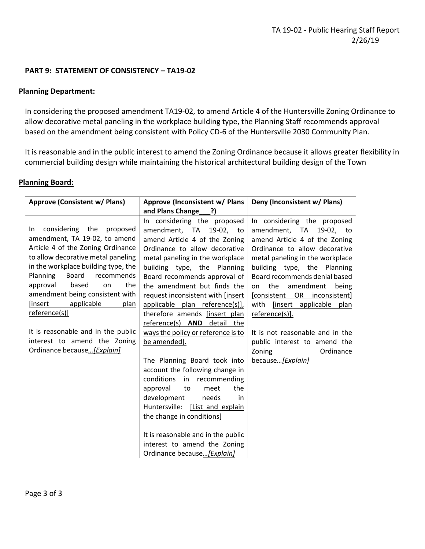# **PART 9: STATEMENT OF CONSISTENCY – TA19-02**

#### **Planning Department:**

In considering the proposed amendment TA19-02, to amend Article 4 of the Huntersville Zoning Ordinance to allow decorative metal paneling in the workplace building type, the Planning Staff recommends approval based on the amendment being consistent with Policy CD-6 of the Huntersville 2030 Community Plan.

It is reasonable and in the public interest to amend the Zoning Ordinance because it allows greater flexibility in commercial building design while maintaining the historical architectural building design of the Town

#### **Planning Board:**

| <b>Approve (Consistent w/ Plans)</b>                                                                                                                                                                                                                                                                                                                                                                                                                  | Approve (Inconsistent w/ Plans                                                                                                                                                                                                                                                                                                                                                                                                                                                                                                                                                                                                                                                                                                                                                                 | Deny (Inconsistent w/ Plans)                                                                                                                                                                                                                                                                                                                                                                                                                             |
|-------------------------------------------------------------------------------------------------------------------------------------------------------------------------------------------------------------------------------------------------------------------------------------------------------------------------------------------------------------------------------------------------------------------------------------------------------|------------------------------------------------------------------------------------------------------------------------------------------------------------------------------------------------------------------------------------------------------------------------------------------------------------------------------------------------------------------------------------------------------------------------------------------------------------------------------------------------------------------------------------------------------------------------------------------------------------------------------------------------------------------------------------------------------------------------------------------------------------------------------------------------|----------------------------------------------------------------------------------------------------------------------------------------------------------------------------------------------------------------------------------------------------------------------------------------------------------------------------------------------------------------------------------------------------------------------------------------------------------|
|                                                                                                                                                                                                                                                                                                                                                                                                                                                       | and Plans Change ?)                                                                                                                                                                                                                                                                                                                                                                                                                                                                                                                                                                                                                                                                                                                                                                            |                                                                                                                                                                                                                                                                                                                                                                                                                                                          |
| considering the<br>proposed<br>In I<br>amendment, TA 19-02, to amend<br>Article 4 of the Zoning Ordinance<br>to allow decorative metal paneling<br>in the workplace building type, the<br>Planning<br>Board<br>recommends<br>approval<br>based<br>the<br>on<br>amendment being consistent with<br>[insert<br>applicable<br>plan<br>reference(s)]<br>It is reasonable and in the public<br>interest to amend the Zoning<br>Ordinance because [Explain] | In considering the proposed<br>amendment, TA 19-02, to<br>amend Article 4 of the Zoning<br>Ordinance to allow decorative<br>metal paneling in the workplace<br>building type, the Planning<br>Board recommends approval of<br>the amendment but finds the<br>request inconsistent with [insert<br>applicable plan reference(s)],<br>therefore amends [insert plan<br>reference(s) AND detail the<br>ways the policy or reference is to<br>be amended].<br>The Planning Board took into<br>account the following change in<br>conditions<br>in recommending<br>the<br>approval<br>to<br>meet<br>development<br>needs<br>in<br>Huntersville: [List and explain<br>the change in conditions]<br>It is reasonable and in the public<br>interest to amend the Zoning<br>Ordinance because [Explain] | In considering the proposed<br>amendment, TA 19-02, to<br>amend Article 4 of the Zoning<br>Ordinance to allow decorative<br>metal paneling in the workplace<br>building type, the Planning<br>Board recommends denial based<br>the amendment being<br>on<br>[consistent OR inconsistent]<br>with [insert applicable plan<br>reference(s)].<br>It is not reasonable and in the<br>public interest to amend the<br>Ordinance<br>Zoning<br>because[Explain] |